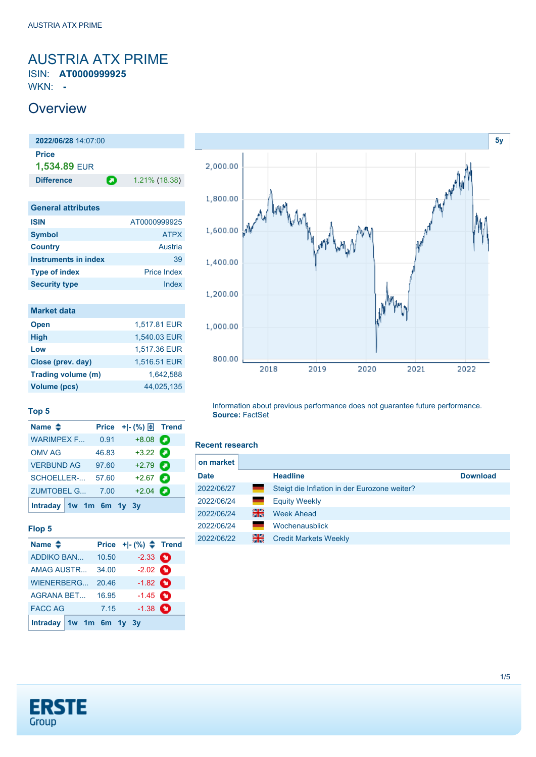# <span id="page-0-0"></span>AUSTRIA ATX PRIME

ISIN: **AT0000999925** WKN: **-**

## **Overview**

**2022/06/28** 14:07:00 **Price 1,534.89** EUR **Difference 1.21% (18.38)** 

| ட<br>ا ب |  |
|----------|--|
|          |  |

| <b>General attributes</b>   |                    |  |  |  |
|-----------------------------|--------------------|--|--|--|
| <b>ISIN</b>                 | AT0000999925       |  |  |  |
| <b>Symbol</b>               | <b>ATPX</b>        |  |  |  |
| <b>Country</b>              | Austria            |  |  |  |
| <b>Instruments in index</b> | 39                 |  |  |  |
| <b>Type of index</b>        | <b>Price Index</b> |  |  |  |
| <b>Security type</b>        | Index              |  |  |  |
|                             |                    |  |  |  |

| <b>Market data</b> |              |
|--------------------|--------------|
| <b>Open</b>        | 1,517.81 EUR |
| <b>High</b>        | 1,540.03 EUR |
| Low                | 1,517.36 EUR |
| Close (prev. day)  | 1,516.51 EUR |
| Trading volume (m) | 1.642.588    |
| Volume (pcs)       | 44,025,135   |



### **Top 5**

| Name $\triangleq$         |       | Price $+$ $-$ (%) $\bigoplus$ Trend |   |
|---------------------------|-------|-------------------------------------|---|
| <b>WARIMPEX F</b>         | 0.91  | $+8.08$                             | Θ |
| <b>OMV AG</b>             | 46.83 | $+3.22$ $\bullet$                   |   |
| <b>VERBUND AG</b>         | 97.60 | $+2.79$ $\bullet$                   |   |
| SCHOELLER-                | 57.60 | $+2.67$ $\bullet$                   |   |
| <b>ZUMTOBEL G</b>         | 7.00  | $+2.04$ $\bullet$                   |   |
| Intraday $1w$ 1m 6m 1y 3y |       |                                     |   |

### **Flop 5**

| Name $\triangle$        |       | Price $+$ $ (*)$ $\spadesuit$ Trend |  |
|-------------------------|-------|-------------------------------------|--|
| <b>ADDIKO BAN</b>       | 10.50 | $-2.33$ $\bullet$                   |  |
| <b>AMAG AUSTR</b>       | 34.00 | $-2.02$ $\bullet$                   |  |
| WIENERBERG              | 20.46 | $-1.82$ $\bullet$                   |  |
| AGRANA BET              | 16.95 | $-1.45$ $\bullet$                   |  |
| <b>FACC AG</b>          | 7.15  | $-1.38$ $\bullet$                   |  |
| Intraday 1w 1m 6m 1y 3y |       |                                     |  |

Information about previous performance does not guarantee future performance. **Source:** FactSet

#### **Recent research**

| <b>Download</b> |
|-----------------|
|                 |
|                 |
|                 |
|                 |
|                 |
|                 |

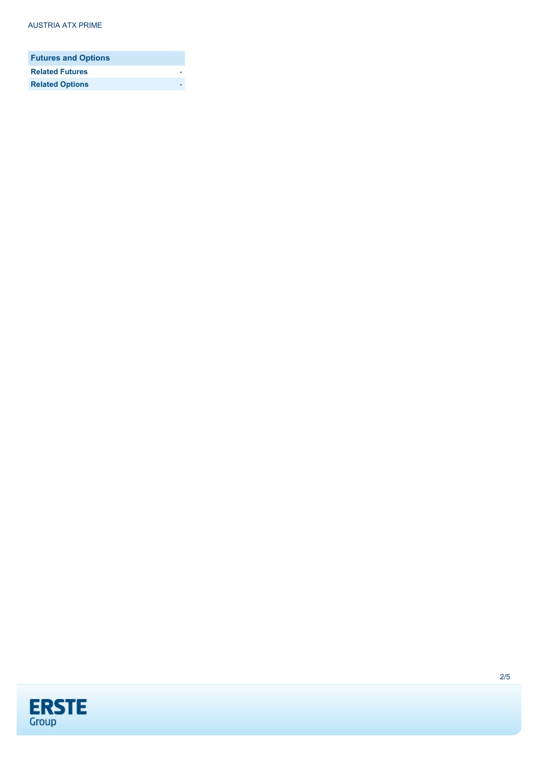| <b>Futures and Options</b> |  |
|----------------------------|--|
| <b>Related Futures</b>     |  |
| <b>Related Options</b>     |  |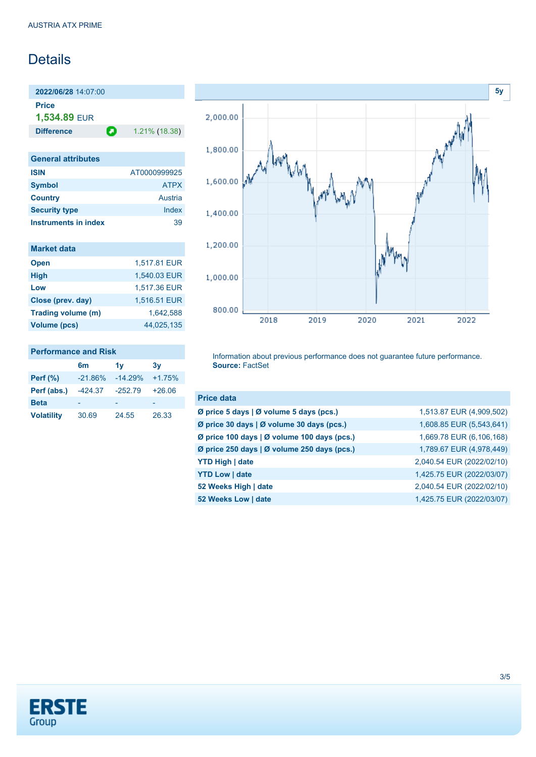## **Details**

**2022/06/28** 14:07:00 **Price**

**1,534.89** EUR

**Difference 1.21% (18.38)** 

| <b>General attributes</b>   |              |  |  |  |
|-----------------------------|--------------|--|--|--|
| <b>ISIN</b>                 | AT0000999925 |  |  |  |
| <b>Symbol</b>               | <b>ATPX</b>  |  |  |  |
| <b>Country</b>              | Austria      |  |  |  |
| <b>Security type</b>        | Index        |  |  |  |
| <b>Instruments in index</b> | 30           |  |  |  |

| <b>Market data</b> |              |
|--------------------|--------------|
| <b>Open</b>        | 1,517.81 EUR |
| <b>High</b>        | 1,540.03 EUR |
| Low                | 1,517.36 EUR |
| Close (prev. day)  | 1,516.51 EUR |
| Trading volume (m) | 1.642.588    |
| Volume (pcs)       | 44,025,135   |

#### **Performance and Risk**

|                   | 6 <sub>m</sub> | 1v        | 3v       |
|-------------------|----------------|-----------|----------|
| Perf $(\%)$       | $-21.86%$      | $-14.29%$ | $+1.75%$ |
| Perf (abs.)       | $-424.37$      | $-252.79$ | $+26.06$ |
| <b>Beta</b>       |                |           |          |
| <b>Volatility</b> | 30.69          | 24.55     | 26.33    |



Information about previous performance does not guarantee future performance. **Source:** FactSet

| <b>Price data</b>                           |                           |
|---------------------------------------------|---------------------------|
| Ø price 5 days   Ø volume 5 days (pcs.)     | 1,513.87 EUR (4,909,502)  |
| Ø price 30 days   Ø volume 30 days (pcs.)   | 1,608.85 EUR (5,543,641)  |
| Ø price 100 days   Ø volume 100 days (pcs.) | 1,669.78 EUR (6,106,168)  |
| Ø price 250 days   Ø volume 250 days (pcs.) | 1,789.67 EUR (4,978,449)  |
| <b>YTD High   date</b>                      | 2,040.54 EUR (2022/02/10) |
| <b>YTD Low   date</b>                       | 1,425.75 EUR (2022/03/07) |
| 52 Weeks High   date                        | 2,040.54 EUR (2022/02/10) |
| 52 Weeks Low   date                         | 1,425.75 EUR (2022/03/07) |

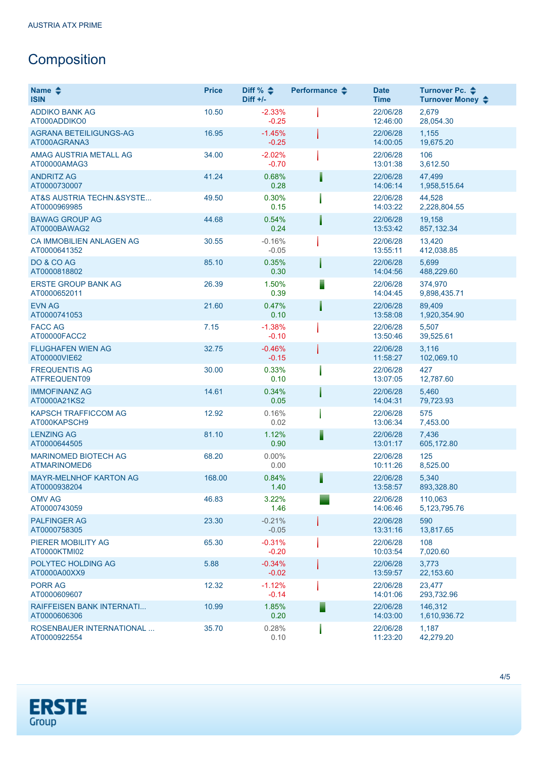# **Composition**

| Name $\clubsuit$<br><b>ISIN</b>               | <b>Price</b> | Diff % $\div$<br>$Diff +/-$ | Performance $\triangle$ | <b>Date</b><br><b>Time</b> | Turnover Pc. ♦<br>Turnover Money $\div$ |
|-----------------------------------------------|--------------|-----------------------------|-------------------------|----------------------------|-----------------------------------------|
| <b>ADDIKO BANK AG</b><br>AT000ADDIKO0         | 10.50        | $-2.33%$<br>$-0.25$         |                         | 22/06/28<br>12:46:00       | 2,679<br>28,054.30                      |
| AGRANA BETEILIGUNGS-AG<br>AT000AGRANA3        | 16.95        | $-1.45%$<br>$-0.25$         |                         | 22/06/28<br>14:00:05       | 1,155<br>19,675.20                      |
| AMAG AUSTRIA METALL AG<br>AT00000AMAG3        | 34.00        | $-2.02%$<br>$-0.70$         |                         | 22/06/28<br>13:01:38       | 106<br>3,612.50                         |
| <b>ANDRITZ AG</b><br>AT0000730007             | 41.24        | 0.68%<br>0.28               |                         | 22/06/28<br>14:06:14       | 47,499<br>1,958,515.64                  |
| AT&S AUSTRIA TECHN.&SYSTE<br>AT0000969985     | 49.50        | 0.30%<br>0.15               |                         | 22/06/28<br>14:03:22       | 44,528<br>2,228,804.55                  |
| <b>BAWAG GROUP AG</b><br>AT0000BAWAG2         | 44.68        | 0.54%<br>0.24               |                         | 22/06/28<br>13:53:42       | 19,158<br>857, 132.34                   |
| CA IMMOBILIEN ANLAGEN AG<br>AT0000641352      | 30.55        | $-0.16%$<br>$-0.05$         |                         | 22/06/28<br>13:55:11       | 13,420<br>412,038.85                    |
| DO & CO AG<br>AT0000818802                    | 85.10        | 0.35%<br>0.30               |                         | 22/06/28<br>14:04:56       | 5,699<br>488,229.60                     |
| <b>ERSTE GROUP BANK AG</b><br>AT0000652011    | 26.39        | 1.50%<br>0.39               |                         | 22/06/28<br>14:04:45       | 374,970<br>9,898,435.71                 |
| <b>EVN AG</b><br>AT0000741053                 | 21.60        | 0.47%<br>0.10               |                         | 22/06/28<br>13:58:08       | 89,409<br>1,920,354.90                  |
| <b>FACC AG</b><br>AT00000FACC2                | 7.15         | $-1.38%$<br>$-0.10$         |                         | 22/06/28<br>13:50:46       | 5,507<br>39,525.61                      |
| <b>FLUGHAFEN WIEN AG</b><br>AT00000VIE62      | 32.75        | $-0.46%$<br>$-0.15$         |                         | 22/06/28<br>11:58:27       | 3,116<br>102,069.10                     |
| <b>FREQUENTIS AG</b><br>ATFREQUENT09          | 30.00        | 0.33%<br>0.10               |                         | 22/06/28<br>13:07:05       | 427<br>12,787.60                        |
| <b>IMMOFINANZ AG</b><br>AT0000A21KS2          | 14.61        | 0.34%<br>0.05               |                         | 22/06/28<br>14:04:31       | 5,460<br>79,723.93                      |
| <b>KAPSCH TRAFFICCOM AG</b><br>AT000KAPSCH9   | 12.92        | 0.16%<br>0.02               |                         | 22/06/28<br>13:06:34       | 575<br>7,453.00                         |
| <b>LENZING AG</b><br>AT0000644505             | 81.10        | 1.12%<br>0.90               |                         | 22/06/28<br>13:01:17       | 7,436<br>605,172.80                     |
| <b>MARINOMED BIOTECH AG</b><br>ATMARINOMED6   | 68.20        | 0.00%<br>0.00               |                         | 22/06/28<br>10:11:26       | 125<br>8,525.00                         |
| <b>MAYR-MELNHOF KARTON AG</b><br>AT0000938204 | 168.00       | 0.84%<br>1.40               |                         | 22/06/28<br>13:58:57       | 5,340<br>893,328.80                     |
| <b>OMV AG</b><br>AT0000743059                 | 46.83        | 3.22%<br>1.46               |                         | 22/06/28<br>14:06:46       | 110,063<br>5, 123, 795. 76              |
| <b>PALFINGER AG</b><br>AT0000758305           | 23.30        | $-0.21%$<br>$-0.05$         |                         | 22/06/28<br>13:31:16       | 590<br>13,817.65                        |
| PIERER MOBILITY AG<br>AT0000KTMI02            | 65.30        | $-0.31%$<br>$-0.20$         |                         | 22/06/28<br>10:03:54       | 108<br>7,020.60                         |
| <b>POLYTEC HOLDING AG</b><br>AT0000A00XX9     | 5.88         | $-0.34%$<br>$-0.02$         |                         | 22/06/28<br>13:59:57       | 3,773<br>22,153.60                      |
| <b>PORR AG</b><br>AT0000609607                | 12.32        | $-1.12%$<br>$-0.14$         |                         | 22/06/28<br>14:01:06       | 23,477<br>293,732.96                    |
| RAIFFEISEN BANK INTERNATI<br>AT0000606306     | 10.99        | 1.85%<br>0.20               |                         | 22/06/28<br>14:03:00       | 146,312<br>1,610,936.72                 |
| ROSENBAUER INTERNATIONAL<br>AT0000922554      | 35.70        | 0.28%<br>0.10               |                         | 22/06/28<br>11:23:20       | 1,187<br>42,279.20                      |